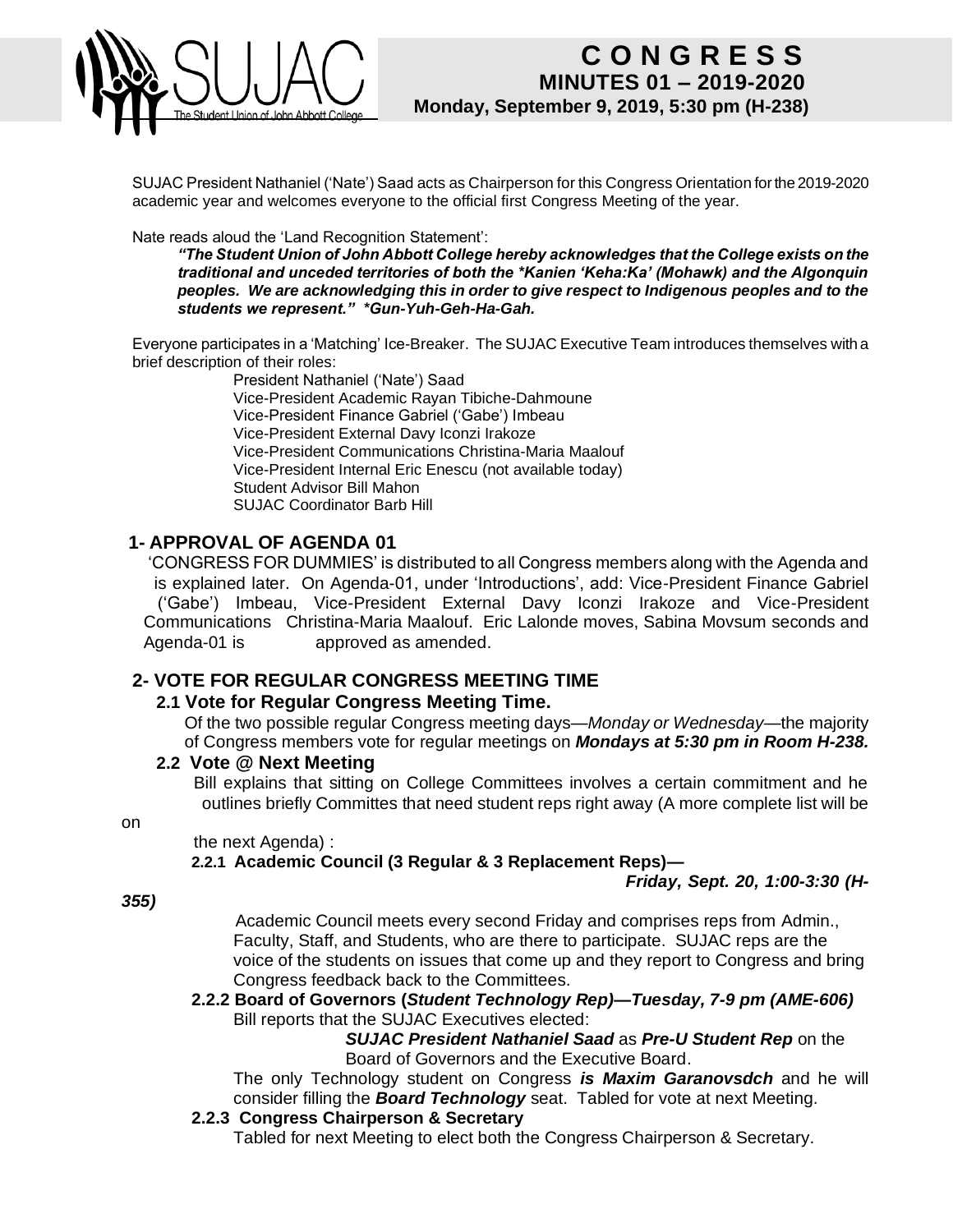

SUJAC President Nathaniel ('Nate') Saad acts as Chairperson for this Congress Orientation for the 2019-2020 academic year and welcomes everyone to the official first Congress Meeting of the year.

Nate reads aloud the 'Land Recognition Statement':

*"The Student Union of John Abbott College hereby acknowledges that the College exists on the traditional and unceded territories of both the \*Kanien 'Keha:Ka' (Mohawk) and the Algonquin peoples. We are acknowledging this in order to give respect to Indigenous peoples and to the students we represent." \*Gun-Yuh-Geh-Ha-Gah.* 

Everyone participates in a 'Matching' Ice-Breaker. The SUJAC Executive Team introduces themselves with a brief description of their roles:

President Nathaniel ('Nate') Saad Vice-President Academic Rayan Tibiche-Dahmoune Vice-President Finance Gabriel ('Gabe') Imbeau Vice-President External Davy Iconzi Irakoze Vice-President Communications Christina-Maria Maalouf Vice-President Internal Eric Enescu (not available today) Student Advisor Bill Mahon SUJAC Coordinator Barb Hill

# **1- APPROVAL OF AGENDA 01**

'CONGRESS FOR DUMMIES' is distributed to all Congress members along with the Agenda and is explained later. On Agenda-01, under 'Introductions', add: Vice-President Finance Gabriel ('Gabe') Imbeau, Vice-President External Davy Iconzi Irakoze and Vice-President Communications Christina-Maria Maalouf. Eric Lalonde moves, Sabina Movsum seconds and Agenda-01 is approved as amended.

# **2- VOTE FOR REGULAR CONGRESS MEETING TIME**

# **2.1 Vote for Regular Congress Meeting Time.**

Of the two possible regular Congress meeting days—*Monday or Wednesday*—the majority of Congress members vote for regular meetings on *Mondays at 5:30 pm in Room H-238.*

### **2.2 Vote @ Next Meeting**

Bill explains that sitting on College Committees involves a certain commitment and he outlines briefly Committes that need student reps right away (A more complete list will be

on

#### the next Agenda) :

## **2.2.1 Academic Council (3 Regular & 3 Replacement Reps)—**

*Friday, Sept. 20, 1:00-3:30 (H-*

*355)*

Academic Council meets every second Friday and comprises reps from Admin., Faculty, Staff, and Students, who are there to participate. SUJAC reps are the voice of the students on issues that come up and they report to Congress and bring Congress feedback back to the Committees.

#### **2.2.2 Board of Governors (***Student Technology Rep)—Tuesday, 7-9 pm (AME-606)* Bill reports that the SUJAC Executives elected:

*SUJAC President Nathaniel Saad* as *Pre-U Student Rep* on the Board of Governors and the Executive Board.

The only Technology student on Congress *is Maxim Garanovsdch* and he will consider filling the *Board Technology* seat. Tabled for vote at next Meeting.

#### **2.2.3 Congress Chairperson & Secretary**

Tabled for next Meeting to elect both the Congress Chairperson & Secretary.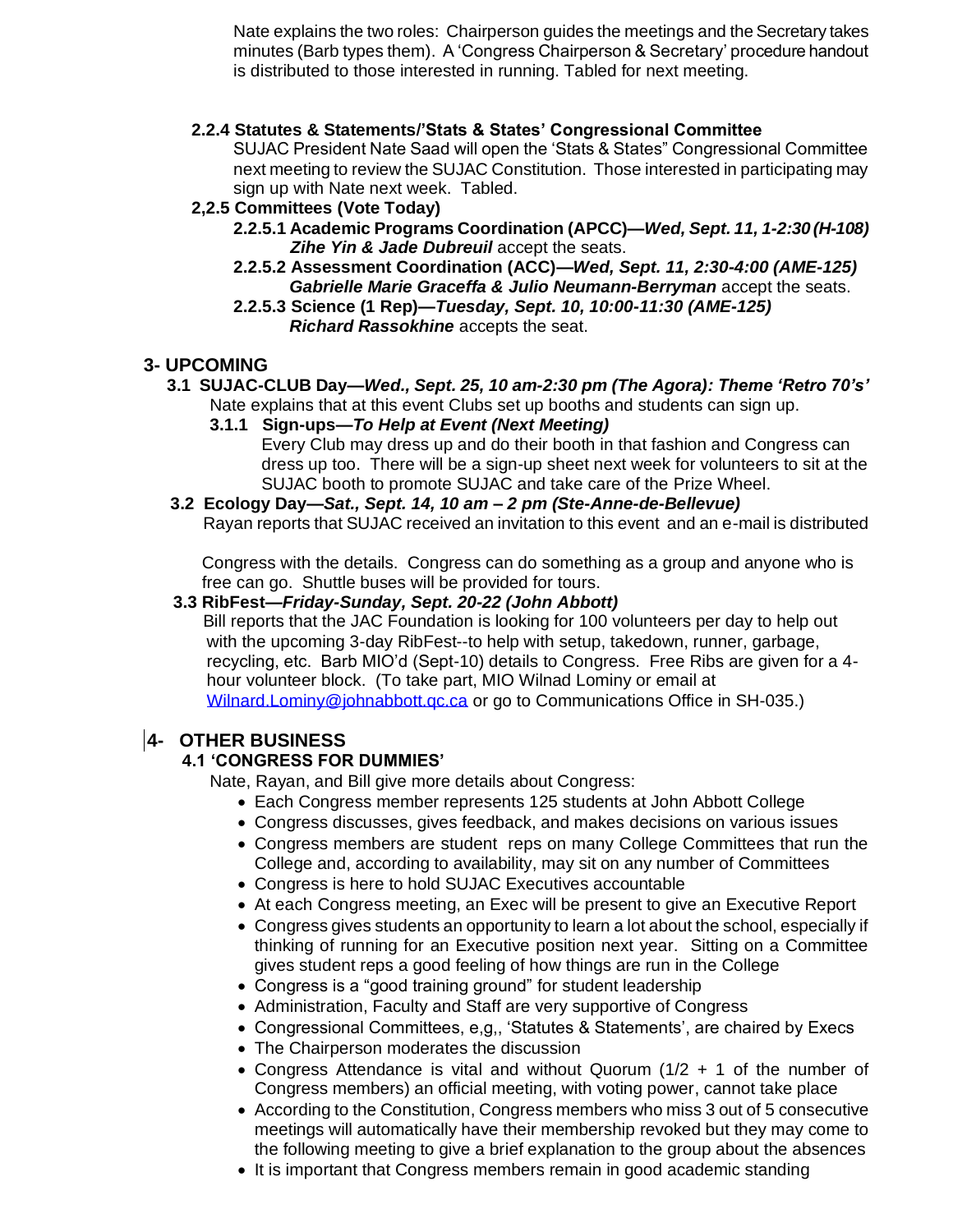Nate explains the two roles: Chairperson guides the meetings and the Secretary takes minutes (Barb types them). A 'Congress Chairperson & Secretary' procedure handout is distributed to those interested in running. Tabled for next meeting.

## **2.2.4 Statutes & Statements/'Stats & States' Congressional Committee**

SUJAC President Nate Saad will open the 'Stats & States" Congressional Committee next meeting to review the SUJAC Constitution. Those interested in participating may sign up with Nate next week. Tabled.

## **2,2.5 Committees (Vote Today)**

- **2.2.5.1 Academic Programs Coordination (APCC)—***Wed, Sept. 11, 1-2:30 (H-108) Zihe Yin & Jade Dubreuil* accept the seats.
- **2.2.5.2 Assessment Coordination (ACC)—***Wed, Sept. 11, 2:30-4:00 (AME-125) Gabrielle Marie Graceffa & Julio Neumann-Berryman* accept the seats.
- **2.2.5.3 Science (1 Rep)—***Tuesday, Sept. 10, 10:00-11:30 (AME-125) Richard Rassokhine* accepts the seat.

## **3- UPCOMING**

- **3.1 SUJAC-CLUB Day—***Wed., Sept. 25, 10 am-2:30 pm (The Agora): Theme 'Retro 70's'* Nate explains that at this event Clubs set up booths and students can sign up.
	- **3.1.1 Sign-ups—***To Help at Event (Next Meeting)*
		- Every Club may dress up and do their booth in that fashion and Congress can dress up too. There will be a sign-up sheet next week for volunteers to sit at the SUJAC booth to promote SUJAC and take care of the Prize Wheel.

#### **3.2 Ecology Day—***Sat., Sept. 14, 10 am – 2 pm (Ste-Anne-de-Bellevue)* Rayan reports that SUJAC received an invitation to this event and an e-mail is distributed

 Congress with the details. Congress can do something as a group and anyone who is free can go. Shuttle buses will be provided for tours.

#### **3.3 RibFest—***Friday-Sunday, Sept. 20-22 (John Abbott)*

Bill reports that the JAC Foundation is looking for 100 volunteers per day to help out with the upcoming 3-day RibFest--to help with setup, takedown, runner, garbage, recycling, etc. Barb MIO'd (Sept-10) details to Congress. Free Ribs are given for a 4 hour volunteer block. (To take part, MIO Wilnad Lominy or email at [Wilnard.Lominy@johnabbott.qc.ca](mailto:Wilnard.Lominy@johnabbott.qc.ca) or go to Communications Office in SH-035.)

## **4- OTHER BUSINESS**

#### **4.1 'CONGRESS FOR DUMMIES'**

Nate, Rayan, and Bill give more details about Congress:

- Each Congress member represents 125 students at John Abbott College
- Congress discusses, gives feedback, and makes decisions on various issues
- Congress members are student reps on many College Committees that run the College and, according to availability, may sit on any number of Committees
- Congress is here to hold SUJAC Executives accountable
- At each Congress meeting, an Exec will be present to give an Executive Report
- Congress gives students an opportunity to learn a lot about the school, especially if thinking of running for an Executive position next year. Sitting on a Committee gives student reps a good feeling of how things are run in the College
- Congress is a "good training ground" for student leadership
- Administration, Faculty and Staff are very supportive of Congress
- Congressional Committees, e,g,, 'Statutes & Statements', are chaired by Execs
- The Chairperson moderates the discussion
- Congress Attendance is vital and without Quorum (1/2 + 1 of the number of Congress members) an official meeting, with voting power, cannot take place
- According to the Constitution, Congress members who miss 3 out of 5 consecutive meetings will automatically have their membership revoked but they may come to the following meeting to give a brief explanation to the group about the absences
- It is important that Congress members remain in good academic standing